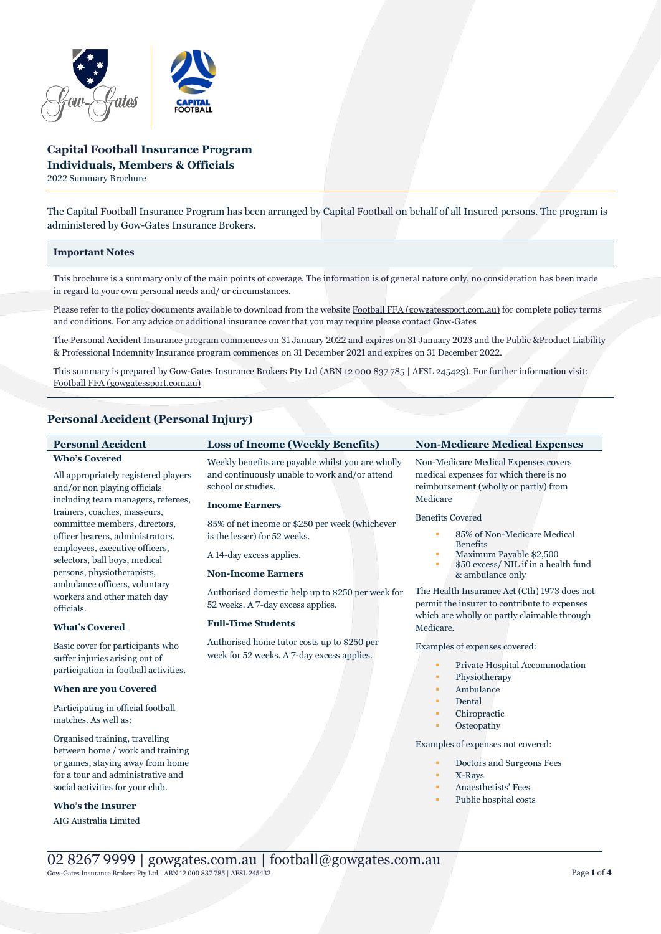

# **Capital Football Insurance Program Individuals, Members & Officials**

2022 Summary Brochure

The Capital Football Insurance Program has been arranged by Capital Football on behalf of all Insured persons. The program is administered by Gow-Gates Insurance Brokers.

## **Important Notes**

This brochure is a summary only of the main points of coverage. The information is of general nature only, no consideration has been made in regard to your own personal needs and/ or circumstances.

Please refer to the policy documents available to download from the websit[e Football FFA \(gowgatessport.com.au\)](https://football.gowgatessport.com.au/) for complete policy terms and conditions. For any advice or additional insurance cover that you may require please contact Gow-Gates

The Personal Accident Insurance program commences on 31 January 2022 and expires on 31 January 2023 and the Public &Product Liability & Professional Indemnity Insurance program commences on 31 December 2021 and expires on 31 December 2022.

This summary is prepared by Gow-Gates Insurance Brokers Pty Ltd (ABN 12 000 837 785 | AFSL 245423). For further information visit: [Football FFA \(gowgatessport.com.au\)](https://football.gowgatessport.com.au/)

# **Personal Accident (Personal Injury)**

| <b>Personal Accident</b>                                                                                                                                                                                                                                                                                                                                                  | <b>Loss of Income (Weekly Benefits)</b>                                                                                                                                                                                                                                                      | <b>Non-Medicare Medical Expenses</b>                                                                                                                                                                                                                                                                                   |
|---------------------------------------------------------------------------------------------------------------------------------------------------------------------------------------------------------------------------------------------------------------------------------------------------------------------------------------------------------------------------|----------------------------------------------------------------------------------------------------------------------------------------------------------------------------------------------------------------------------------------------------------------------------------------------|------------------------------------------------------------------------------------------------------------------------------------------------------------------------------------------------------------------------------------------------------------------------------------------------------------------------|
| <b>Who's Covered</b><br>All appropriately registered players<br>and/or non playing officials<br>including team managers, referees,<br>trainers, coaches, masseurs,<br>committee members, directors,<br>officer bearers, administrators,<br>employees, executive officers,<br>selectors, ball boys, medical<br>persons, physiotherapists,<br>ambulance officers, voluntary | Weekly benefits are payable whilst you are wholly<br>and continuously unable to work and/or attend<br>school or studies.<br><b>Income Earners</b><br>85% of net income or \$250 per week (whichever<br>is the lesser) for 52 weeks.<br>A 14-day excess applies.<br><b>Non-Income Earners</b> | Non-Medicare Medical Expenses covers<br>medical expenses for which there is no<br>reimbursement (wholly or partly) from<br>Medicare<br><b>Benefits Covered</b><br>85% of Non-Medicare Medical<br>٠<br><b>Benefits</b><br>Maximum Payable \$2,500<br>٠<br>\$50 excess/ NIL if in a health fund<br>٠<br>& ambulance only |
| workers and other match day<br>officials.                                                                                                                                                                                                                                                                                                                                 | Authorised domestic help up to \$250 per week for<br>52 weeks. A 7-day excess applies.                                                                                                                                                                                                       | The Health Insurance Act (Cth) 1973 does not<br>permit the insurer to contribute to expenses<br>which are wholly or partly claimable through                                                                                                                                                                           |
| <b>What's Covered</b>                                                                                                                                                                                                                                                                                                                                                     | <b>Full-Time Students</b>                                                                                                                                                                                                                                                                    | Medicare.                                                                                                                                                                                                                                                                                                              |
| Basic cover for participants who<br>suffer injuries arising out of<br>participation in football activities.                                                                                                                                                                                                                                                               | Authorised home tutor costs up to \$250 per<br>week for 52 weeks. A 7-day excess applies.                                                                                                                                                                                                    | Examples of expenses covered:<br>Private Hospital Accommodation<br>٠<br>Physiotherapy<br>٠                                                                                                                                                                                                                             |
| <b>When are you Covered</b>                                                                                                                                                                                                                                                                                                                                               |                                                                                                                                                                                                                                                                                              | Ambulance<br>٠                                                                                                                                                                                                                                                                                                         |
| Participating in official football<br>matches. As well as:                                                                                                                                                                                                                                                                                                                |                                                                                                                                                                                                                                                                                              | Dental<br>٠<br>Chiropractic<br>٠<br>Osteopathy<br>٠                                                                                                                                                                                                                                                                    |
| Organised training, travelling<br>between home / work and training<br>or games, staying away from home<br>for a tour and administrative and<br>social activities for your club.<br><b>Who's the Insurer</b>                                                                                                                                                               |                                                                                                                                                                                                                                                                                              | Examples of expenses not covered:<br>Doctors and Surgeons Fees<br>٠<br>X-Rays<br>٠<br>Anaesthetists' Fees<br>٠<br>Public hospital costs<br>٠                                                                                                                                                                           |
| AIG Australia Limited                                                                                                                                                                                                                                                                                                                                                     |                                                                                                                                                                                                                                                                                              |                                                                                                                                                                                                                                                                                                                        |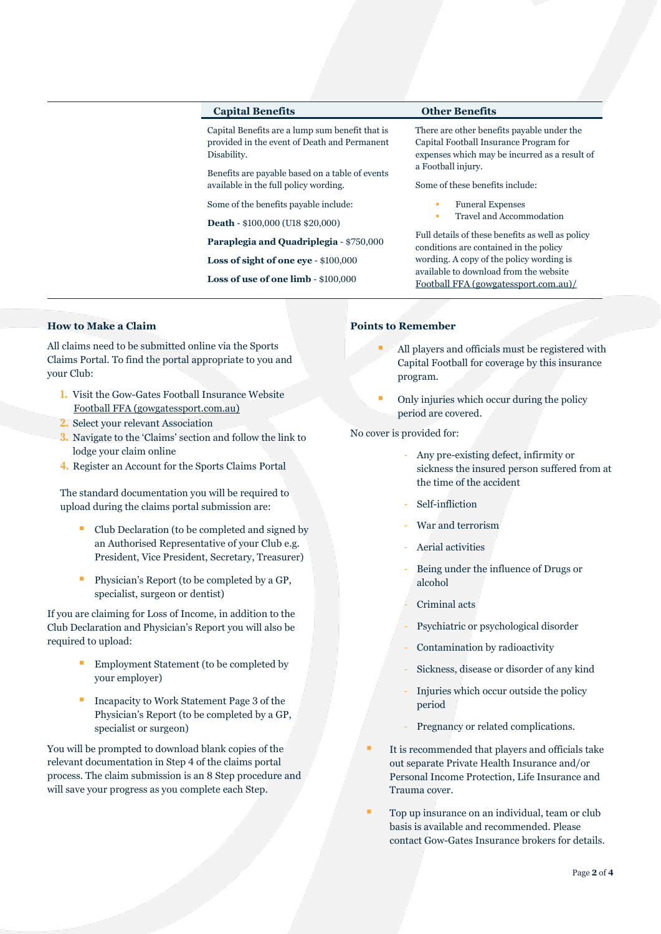# **Capital Benefits Other Benefits**

Capital Benefits are a lump sum benefit that is provided in the event of Death and Permanent Disability.

Benefits are payable based on a table of events available in the full policy wording.

Some of the benefits payable include:

**Death** - \$100,000 (U18 \$20,000)

**Paraplegia and Quadriplegia** - \$750,000

**Loss of sight of one eye** - \$100,000

**Loss of use of one limb** - \$100,000

There are other benefits payable under the Capital Football Insurance Program for expenses which may be incurred as a result of a Football injury.

Some of these benefits include:

- **Funeral Expenses**
- Travel and Accommodation

Full details of these benefits as well as policy conditions are contained in the policy wording. A copy of the policy wording is available to download from the website [Football FFA \(gowgatessport.com.au\)/](https://football.gowgatessport.com.au/)

# **How to Make a Claim**

All claims need to be submitted online via the Sports Claims Portal. To find the portal appropriate to you and your Club:

- **1.** Visit the Gow-Gates Football Insurance Website [Football FFA \(gowgatessport.com.au\)](https://football.gowgatessport.com.au/)
- **2.** Select your relevant Association
- **3.** Navigate to the 'Claims' section and follow the link to lodge your claim online
- **4.** Register an Account for the Sports Claims Portal

The standard documentation you will be required to upload during the claims portal submission are:

- Club Declaration (to be completed and signed by an Authorised Representative of your Club e.g. President, Vice President, Secretary, Treasurer)
- Physician's Report (to be completed by a GP, specialist, surgeon or dentist)

If you are claiming for Loss of Income, in addition to the Club Declaration and Physician's Report you will also be required to upload:

- Employment Statement (to be completed by your employer)
- Incapacity to Work Statement Page 3 of the Physician's Report (to be completed by a GP, specialist or surgeon)

You will be prompted to download blank copies of the relevant documentation in Step 4 of the claims portal process. The claim submission is an 8 Step procedure and will save your progress as you complete each Step.

## **Points to Remember**

- All players and officials must be registered with Capital Football for coverage by this insurance program.
- Only injuries which occur during the policy period are covered.

No cover is provided for:

- Any pre-existing defect, infirmity or sickness the insured person suffered from at the time of the accident
- Self-infliction
- War and terrorism
- Aerial activities
- Being under the influence of Drugs or alcohol
- Criminal acts
- Psychiatric or psychological disorder
- Contamination by radioactivity
- Sickness, disease or disorder of any kind
- Injuries which occur outside the policy period
- Pregnancy or related complications.
- It is recommended that players and officials take out separate Private Health Insurance and/or Personal Income Protection, Life Insurance and Trauma cover.
- Top up insurance on an individual, team or club basis is available and recommended. Please contact Gow-Gates Insurance brokers for details.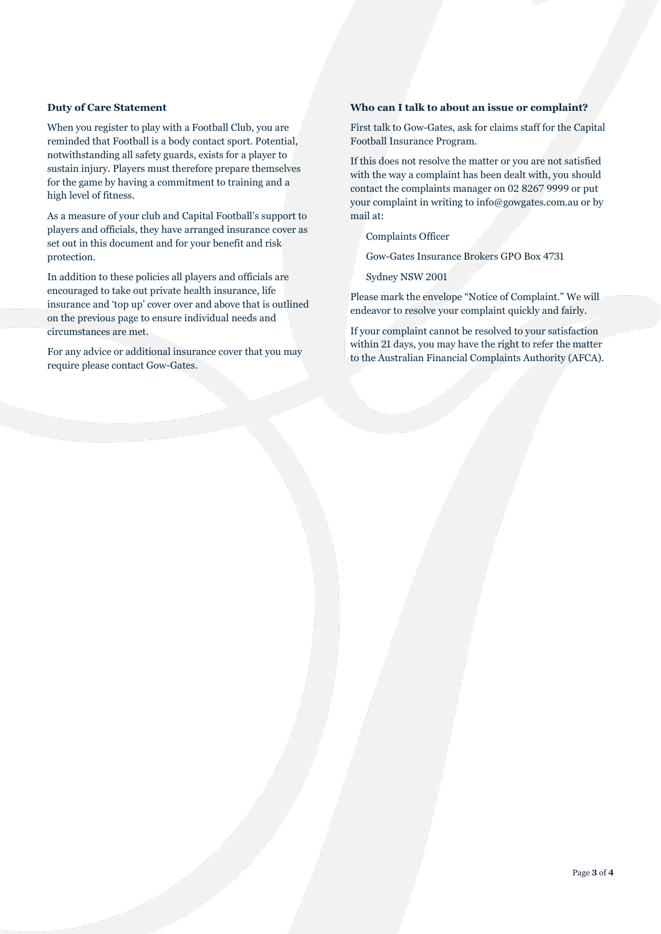# **Duty of Care Statement**

When you register to play with a Football Club, you are reminded that Football is a body contact sport. Potential, notwithstanding all safety guards, exists for a player to sustain injury. Players must therefore prepare themselves for the game by having a commitment to training and a high level of fitness.

As a measure of your club and Capital Football's support to players and officials, they have arranged insurance cover as set out in this document and for your benefit and risk protection.

In addition to these policies all players and officials are encouraged to take out private health insurance, life insurance and 'top up' cover over and above that is outlined on the previous page to ensure individual needs and circumstances are met.

For any advice or additional insurance cover that you may require please contact Gow-Gates.

# **Who can I talk to about an issue or complaint?**

First talk to Gow-Gates, ask for claims staff for the Capital Football Insurance Program.

If this does not resolve the matter or you are not satisfied with the way a complaint has been dealt with, you should contact the complaints manager on 02 8267 9999 or put your complaint in writing to info@gowgates.com.au or by mail at:

Complaints Officer

Gow-Gates Insurance Brokers GPO Box 4731

Sydney NSW 2001

Please mark the envelope "Notice of Complaint." We will endeavor to resolve your complaint quickly and fairly.

If your complaint cannot be resolved to your satisfaction within 21 days, you may have the right to refer the matter to the Australian Financial Complaints Authority (AFCA).